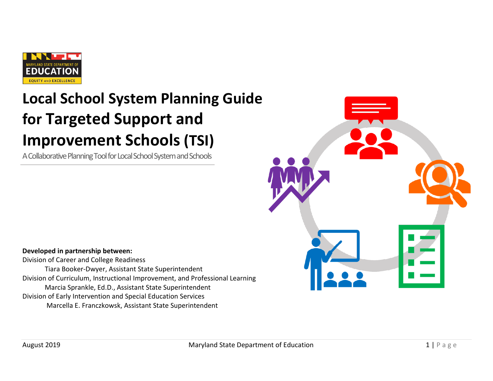

# **Local School System Planning Guide for Targeted Support and Improvement Schools (TSI)**

A Collaborative Planning Tool for Local School System and Schools



# **Developed in partnership between:**

Division of Career and College Readiness Tiara Booker-Dwyer, Assistant State Superintendent Division of Curriculum, Instructional Improvement, and Professional Learning Marcia Sprankle, Ed.D., Assistant State Superintendent Division of Early Intervention and Special Education Services Marcella E. Franczkowsk, Assistant State Superintendent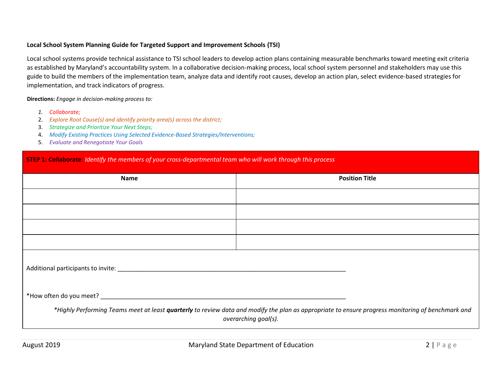#### **Local School System Planning Guide for Targeted Support and Improvement Schools (TSI)**

Local school systems provide technical assistance to TSI school leaders to develop action plans containing measurable benchmarks toward meeting exit criteria as established by Maryland's accountability system. In a collaborative decision-making process, local school system personnel and stakeholders may use this guide to build the members of the implementation team, analyze data and identify root causes, develop an action plan, select evidence-based strategies for implementation, and track indicators of progress.

**Directions:** *Engage in decision-making process to:*

- *1. Collaborate;*
- 2. *Explore Root Cause(s) and identify priority area(s) across the district;*
- 3. *Strategize and Prioritize Your Next Steps;*
- 4. *Modify Existing Practices Using Selected Evidence-Based Strategies/Interventions;*
- 5. *Evaluate and Renegotiate Your Goals*

#### **STEP 1: Collaborate**: *Identify the members of your cross-departmental team who will work through this process*

| Name | <b>Position Title</b>                                                                                                                                                     |  |  |
|------|---------------------------------------------------------------------------------------------------------------------------------------------------------------------------|--|--|
|      |                                                                                                                                                                           |  |  |
|      |                                                                                                                                                                           |  |  |
|      |                                                                                                                                                                           |  |  |
|      |                                                                                                                                                                           |  |  |
|      |                                                                                                                                                                           |  |  |
|      |                                                                                                                                                                           |  |  |
|      | *Highly Performing Teams meet at least quarterly to review data and modify the plan as appropriate to ensure progress monitoring of benchmark and<br>overarching goal(s). |  |  |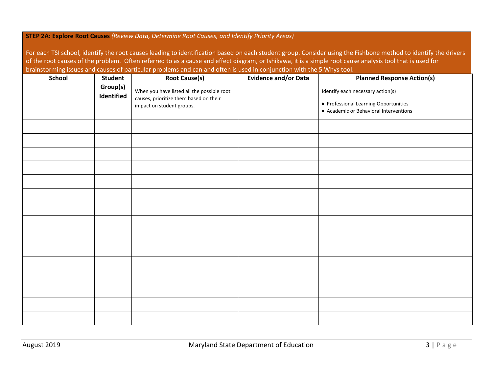#### **STEP 2A: Explore Root Causes** *(Review Data, Determine Root Causes, and Identify Priority Areas)*

For each TSI school, identify the root causes leading to identification based on each student group. Consider using the Fishbone method to identify the drivers of the root causes of the problem. Often referred to as a cause and effect diagram, or Ishikawa, it is a simple root cause analysis tool that is used for brainstorming issues and causes of particular problems and can and often is used in conjunction with the 5 Whys tool.

| <b>School</b><br><b>Student</b><br>Group(s)<br>Identified |  | <b>Root Cause(s)</b>                                                                                              | <b>Evidence and/or Data</b> | <b>Planned Response Action(s)</b><br>Identify each necessary action(s)<br>• Professional Learning Opportunities<br>• Academic or Behavioral Interventions |  |  |
|-----------------------------------------------------------|--|-------------------------------------------------------------------------------------------------------------------|-----------------------------|-----------------------------------------------------------------------------------------------------------------------------------------------------------|--|--|
|                                                           |  | When you have listed all the possible root<br>causes, prioritize them based on their<br>impact on student groups. |                             |                                                                                                                                                           |  |  |
|                                                           |  |                                                                                                                   |                             |                                                                                                                                                           |  |  |
|                                                           |  |                                                                                                                   |                             |                                                                                                                                                           |  |  |
|                                                           |  |                                                                                                                   |                             |                                                                                                                                                           |  |  |
|                                                           |  |                                                                                                                   |                             |                                                                                                                                                           |  |  |
|                                                           |  |                                                                                                                   |                             |                                                                                                                                                           |  |  |
|                                                           |  |                                                                                                                   |                             |                                                                                                                                                           |  |  |
|                                                           |  |                                                                                                                   |                             |                                                                                                                                                           |  |  |
|                                                           |  |                                                                                                                   |                             |                                                                                                                                                           |  |  |
|                                                           |  |                                                                                                                   |                             |                                                                                                                                                           |  |  |
|                                                           |  |                                                                                                                   |                             |                                                                                                                                                           |  |  |
|                                                           |  |                                                                                                                   |                             |                                                                                                                                                           |  |  |
|                                                           |  |                                                                                                                   |                             |                                                                                                                                                           |  |  |
|                                                           |  |                                                                                                                   |                             |                                                                                                                                                           |  |  |
|                                                           |  |                                                                                                                   |                             |                                                                                                                                                           |  |  |
|                                                           |  |                                                                                                                   |                             |                                                                                                                                                           |  |  |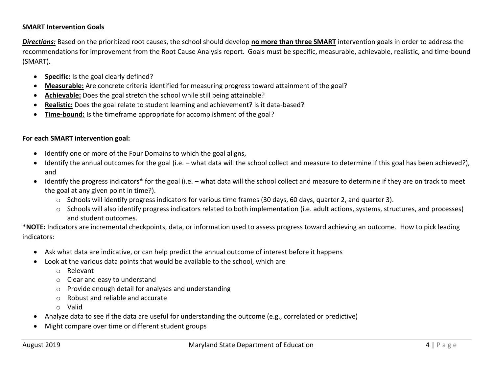#### **SMART Intervention Goals**

*Directions:* Based on the prioritized root causes, the school should develop **no more than three SMART** intervention goals in order to address the recommendations for improvement from the Root Cause Analysis report. Goals must be specific, measurable, achievable, realistic, and time-bound (SMART).

- **•** Specific: Is the goal clearly defined?
- **Measurable:** Are concrete criteria identified for measuring progress toward attainment of the goal?
- **Achievable:** Does the goal stretch the school while still being attainable?
- **Realistic:** Does the goal relate to student learning and achievement? Is it data-based?
- **Time-bound:** Is the timeframe appropriate for accomplishment of the goal?

### **For each SMART intervention goal:**

- Identify one or more of the Four Domains to which the goal aligns,
- Identify the annual outcomes for the goal (i.e. what data will the school collect and measure to determine if this goal has been achieved?), and
- Identify the progress indicators\* for the goal (i.e. what data will the school collect and measure to determine if they are on track to meet the goal at any given point in time?).
	- o Schools will identify progress indicators for various time frames (30 days, 60 days, quarter 2, and quarter 3).
	- o Schools will also identify progress indicators related to both implementation (i.e. adult actions, systems, structures, and processes) and student outcomes.

**\*NOTE:** Indicators are incremental checkpoints, data, or information used to assess progress toward achieving an outcome.How to pick leading indicators:

- Ask what data are indicative, or can help predict the annual outcome of interest before it happens
- Look at the various data points that would be available to the school, which are
	- o Relevant
	- o Clear and easy to understand
	- o Provide enough detail for analyses and understanding
	- o Robust and reliable and accurate
	- o Valid
- Analyze data to see if the data are useful for understanding the outcome (e.g., correlated or predictive)
- Might compare over time or different student groups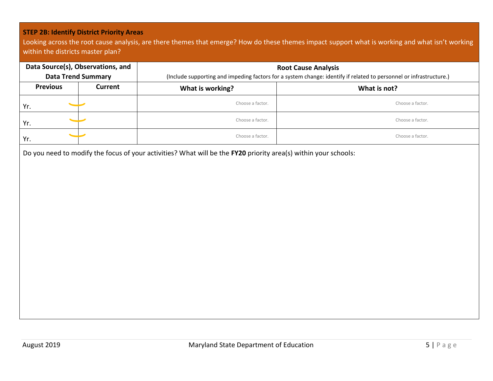## **STEP 2B: Identify District Priority Areas**

Looking across the root cause analysis, are there themes that emerge? How do these themes impact support what is working and what isn't working within the districts master plan?

| Data Source(s), Observations, and<br><b>Data Trend Summary</b> |         | <b>Root Cause Analysis</b><br>(Include supporting and impeding factors for a system change: identify if related to personnel or infrastructure.) |                  |  |  |
|----------------------------------------------------------------|---------|--------------------------------------------------------------------------------------------------------------------------------------------------|------------------|--|--|
| <b>Previous</b>                                                | Current | What is working?                                                                                                                                 | What is not?     |  |  |
| Yr.                                                            |         | Choose a factor.                                                                                                                                 | Choose a factor. |  |  |
| Yr.                                                            |         | Choose a factor.                                                                                                                                 | Choose a factor. |  |  |
| Yr.                                                            |         | Choose a factor.                                                                                                                                 | Choose a factor. |  |  |

Do you need to modify the focus of your activities? What will be the **FY20** priority area(s) within your schools: